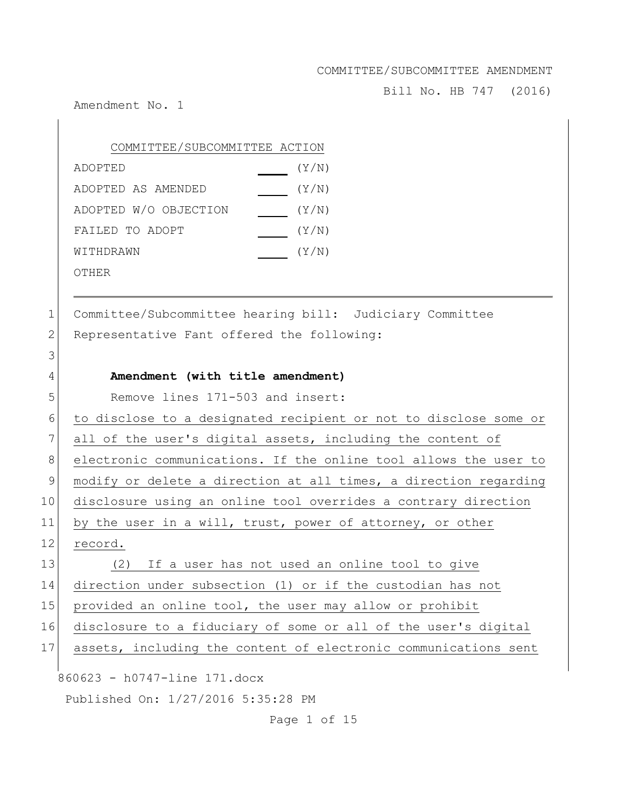Bill No. HB 747 (2016)

Amendment No. 1

3

| COMMITTEE/SUBCOMMITTEE ACTION |       |
|-------------------------------|-------|
| ADOPTED                       | (Y/N) |
| ADOPTED AS AMENDED            | (Y/N) |
| ADOPTED W/O OBJECTION         | (Y/N) |
| FAILED TO ADOPT               | (Y/N) |
| WITHDRAWN                     | (Y/N) |
| OTHER                         |       |

1 Committee/Subcommittee hearing bill: Judiciary Committee 2 Representative Fant offered the following:

#### 4 **Amendment (with title amendment)**

5 Remove lines 171-503 and insert:

6 to disclose to a designated recipient or not to disclose some or 7 all of the user's digital assets, including the content of 8 electronic communications. If the online tool allows the user to 9 modify or delete a direction at all times, a direction regarding 10 disclosure using an online tool overrides a contrary direction 11 by the user in a will, trust, power of attorney, or other 12 record. 13 (2) If a user has not used an online tool to give

 direction under subsection (1) or if the custodian has not 15 provided an online tool, the user may allow or prohibit disclosure to a fiduciary of some or all of the user's digital assets, including the content of electronic communications sent

860623 - h0747-line 171.docx

Published On: 1/27/2016 5:35:28 PM

Page 1 of 15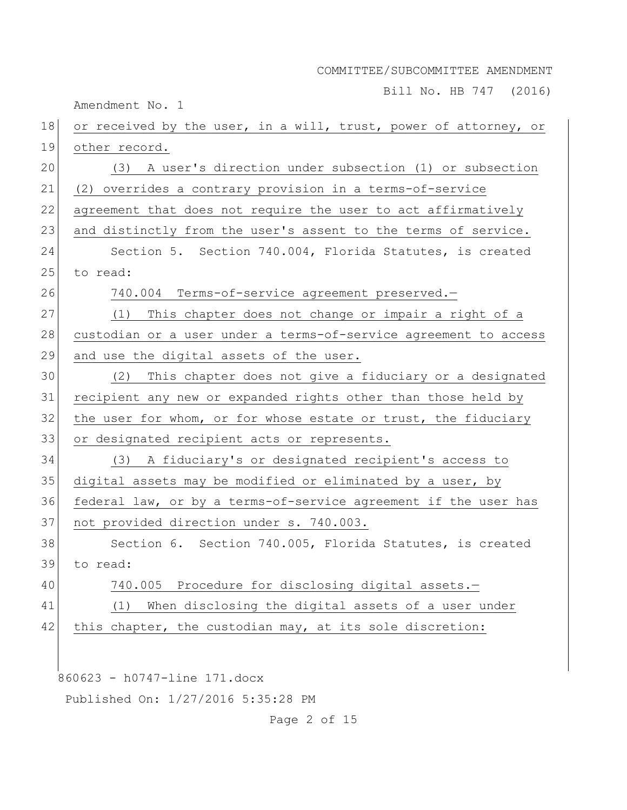Bill No. HB 747 (2016)

Amendment No. 1

| 18 | or received by the user, in a will, trust, power of attorney, or |
|----|------------------------------------------------------------------|
| 19 | other record.                                                    |
| 20 | (3) A user's direction under subsection (1) or subsection        |
| 21 | (2) overrides a contrary provision in a terms-of-service         |
| 22 | agreement that does not require the user to act affirmatively    |
| 23 | and distinctly from the user's assent to the terms of service.   |
| 24 | Section 5. Section 740.004, Florida Statutes, is created         |
| 25 | to read:                                                         |
| 26 | 740.004 Terms-of-service agreement preserved.-                   |
| 27 | This chapter does not change or impair a right of a<br>(1)       |
| 28 | custodian or a user under a terms-of-service agreement to access |
| 29 | and use the digital assets of the user.                          |
| 30 | This chapter does not give a fiduciary or a designated<br>(2)    |
| 31 | recipient any new or expanded rights other than those held by    |
| 32 | the user for whom, or for whose estate or trust, the fiduciary   |
| 33 | or designated recipient acts or represents.                      |
| 34 | (3) A fiduciary's or designated recipient's access to            |
| 35 | digital assets may be modified or eliminated by a user, by       |
| 36 | federal law, or by a terms-of-service agreement if the user has  |
| 37 | not provided direction under s. 740.003.                         |
| 38 | Section 6. Section 740.005, Florida Statutes, is created         |
| 39 | to read:                                                         |
| 40 | Procedure for disclosing digital assets.-<br>740.005             |
| 41 | When disclosing the digital assets of a user under<br>(1)        |
| 42 | this chapter, the custodian may, at its sole discretion:         |
|    |                                                                  |
|    | 860623 - h0747-line 171.docx                                     |
|    |                                                                  |

Published On: 1/27/2016 5:35:28 PM

Page 2 of 15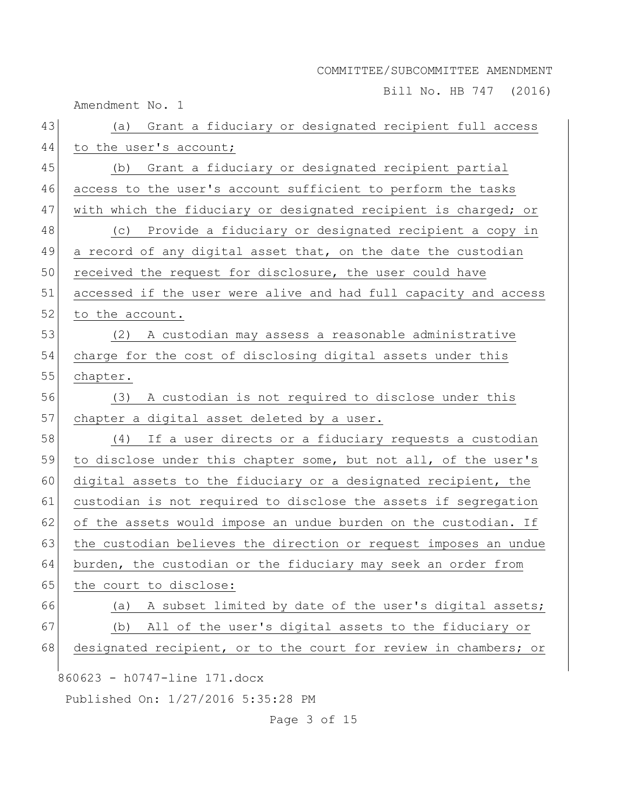Bill No. HB 747 (2016)

Amendment No. 1

| 44<br>to the user's account;<br>45<br>(b) Grant a fiduciary or designated recipient partial<br>46<br>access to the user's account sufficient to perform the tasks<br>47<br>with which the fiduciary or designated recipient is charged; or<br>48<br>(c) Provide a fiduciary or designated recipient a copy in<br>49<br>a record of any digital asset that, on the date the custodian<br>50<br>received the request for disclosure, the user could have<br>51<br>accessed if the user were alive and had full capacity and access<br>52<br>to the account.<br>53<br>A custodian may assess a reasonable administrative<br>(2)<br>54<br>charge for the cost of disclosing digital assets under this<br>55<br>chapter.<br>56<br>A custodian is not required to disclose under this<br>(3) |  |
|----------------------------------------------------------------------------------------------------------------------------------------------------------------------------------------------------------------------------------------------------------------------------------------------------------------------------------------------------------------------------------------------------------------------------------------------------------------------------------------------------------------------------------------------------------------------------------------------------------------------------------------------------------------------------------------------------------------------------------------------------------------------------------------|--|
|                                                                                                                                                                                                                                                                                                                                                                                                                                                                                                                                                                                                                                                                                                                                                                                        |  |
|                                                                                                                                                                                                                                                                                                                                                                                                                                                                                                                                                                                                                                                                                                                                                                                        |  |
|                                                                                                                                                                                                                                                                                                                                                                                                                                                                                                                                                                                                                                                                                                                                                                                        |  |
|                                                                                                                                                                                                                                                                                                                                                                                                                                                                                                                                                                                                                                                                                                                                                                                        |  |
|                                                                                                                                                                                                                                                                                                                                                                                                                                                                                                                                                                                                                                                                                                                                                                                        |  |
|                                                                                                                                                                                                                                                                                                                                                                                                                                                                                                                                                                                                                                                                                                                                                                                        |  |
|                                                                                                                                                                                                                                                                                                                                                                                                                                                                                                                                                                                                                                                                                                                                                                                        |  |
|                                                                                                                                                                                                                                                                                                                                                                                                                                                                                                                                                                                                                                                                                                                                                                                        |  |
|                                                                                                                                                                                                                                                                                                                                                                                                                                                                                                                                                                                                                                                                                                                                                                                        |  |
|                                                                                                                                                                                                                                                                                                                                                                                                                                                                                                                                                                                                                                                                                                                                                                                        |  |
|                                                                                                                                                                                                                                                                                                                                                                                                                                                                                                                                                                                                                                                                                                                                                                                        |  |
|                                                                                                                                                                                                                                                                                                                                                                                                                                                                                                                                                                                                                                                                                                                                                                                        |  |
|                                                                                                                                                                                                                                                                                                                                                                                                                                                                                                                                                                                                                                                                                                                                                                                        |  |
| 57<br>chapter a digital asset deleted by a user.                                                                                                                                                                                                                                                                                                                                                                                                                                                                                                                                                                                                                                                                                                                                       |  |
| 58<br>If a user directs or a fiduciary requests a custodian<br>(4)                                                                                                                                                                                                                                                                                                                                                                                                                                                                                                                                                                                                                                                                                                                     |  |
| 59<br>to disclose under this chapter some, but not all, of the user's                                                                                                                                                                                                                                                                                                                                                                                                                                                                                                                                                                                                                                                                                                                  |  |
| 60<br>digital assets to the fiduciary or a designated recipient, the                                                                                                                                                                                                                                                                                                                                                                                                                                                                                                                                                                                                                                                                                                                   |  |
| 61<br>custodian is not required to disclose the assets if segregation                                                                                                                                                                                                                                                                                                                                                                                                                                                                                                                                                                                                                                                                                                                  |  |
| 62<br>of the assets would impose an undue burden on the custodian. If                                                                                                                                                                                                                                                                                                                                                                                                                                                                                                                                                                                                                                                                                                                  |  |
| 63<br>the custodian believes the direction or request imposes an undue                                                                                                                                                                                                                                                                                                                                                                                                                                                                                                                                                                                                                                                                                                                 |  |
| 64<br>burden, the custodian or the fiduciary may seek an order from                                                                                                                                                                                                                                                                                                                                                                                                                                                                                                                                                                                                                                                                                                                    |  |
| 65<br>the court to disclose:                                                                                                                                                                                                                                                                                                                                                                                                                                                                                                                                                                                                                                                                                                                                                           |  |
| A subset limited by date of the user's digital assets;<br>66<br>(a)                                                                                                                                                                                                                                                                                                                                                                                                                                                                                                                                                                                                                                                                                                                    |  |
| 67<br>All of the user's digital assets to the fiduciary or<br>(b)                                                                                                                                                                                                                                                                                                                                                                                                                                                                                                                                                                                                                                                                                                                      |  |
| 68<br>designated recipient, or to the court for review in chambers; or                                                                                                                                                                                                                                                                                                                                                                                                                                                                                                                                                                                                                                                                                                                 |  |
| 860623 - h0747-line 171.docx                                                                                                                                                                                                                                                                                                                                                                                                                                                                                                                                                                                                                                                                                                                                                           |  |
| Published On: 1/27/2016 5:35:28 PM                                                                                                                                                                                                                                                                                                                                                                                                                                                                                                                                                                                                                                                                                                                                                     |  |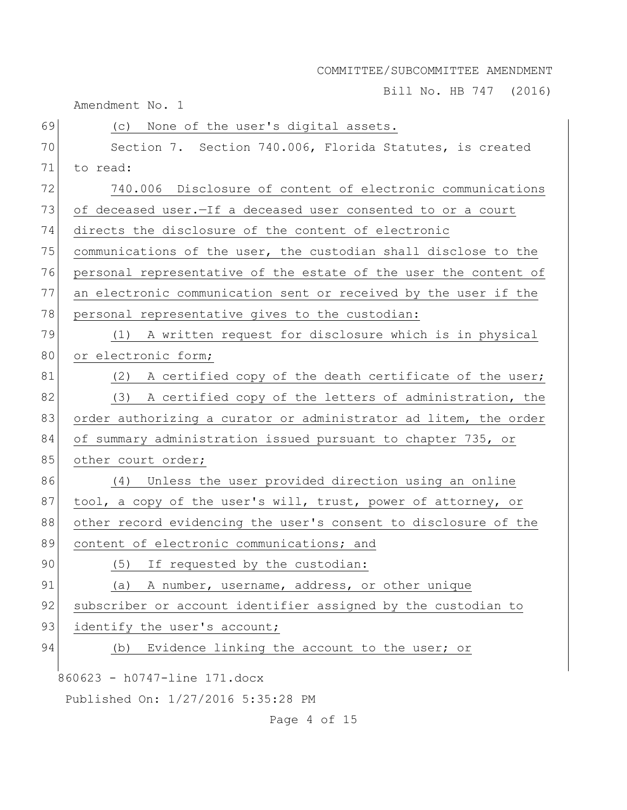Bill No. HB 747 (2016)

Amendment No. 1

| 69 | None of the user's digital assets.<br>(C)                        |
|----|------------------------------------------------------------------|
| 70 | Section 7. Section 740.006, Florida Statutes, is created         |
| 71 | to read:                                                         |
| 72 | 740.006 Disclosure of content of electronic communications       |
| 73 | of deceased user. - If a deceased user consented to or a court   |
| 74 | directs the disclosure of the content of electronic              |
| 75 | communications of the user, the custodian shall disclose to the  |
| 76 | personal representative of the estate of the user the content of |
| 77 | an electronic communication sent or received by the user if the  |
| 78 | personal representative gives to the custodian:                  |
| 79 | A written request for disclosure which is in physical<br>(1)     |
| 80 | or electronic form;                                              |
| 81 | (2) A certified copy of the death certificate of the user;       |
| 82 | (3)<br>A certified copy of the letters of administration, the    |
| 83 | order authorizing a curator or administrator ad litem, the order |
| 84 | of summary administration issued pursuant to chapter 735, or     |
| 85 | other court order;                                               |
| 86 | (4) Unless the user provided direction using an online           |
| 87 | tool, a copy of the user's will, trust, power of attorney, or    |
| 88 | other record evidencing the user's consent to disclosure of the  |
| 89 | content of electronic communications; and                        |
| 90 | (5) If requested by the custodian:                               |
| 91 | A number, username, address, or other unique<br>(a)              |
| 92 | subscriber or account identifier assigned by the custodian to    |
| 93 | identify the user's account;                                     |
| 94 | Evidence linking the account to the user; or<br>(b)              |
|    | 860623 - h0747-line 171.docx                                     |
|    | Published On: 1/27/2016 5:35:28 PM                               |
|    |                                                                  |

Page 4 of 15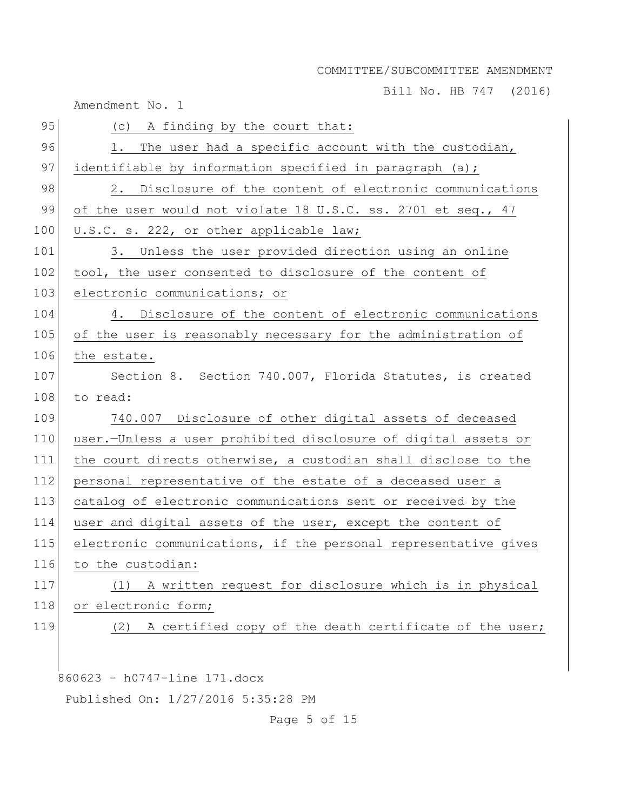Bill No. HB 747 (2016)

Amendment No. 1

| 95  | (c) A finding by the court that:                                |
|-----|-----------------------------------------------------------------|
| 96  | The user had a specific account with the custodian,<br>1.       |
| 97  | identifiable by information specified in paragraph (a);         |
| 98  | 2. Disclosure of the content of electronic communications       |
| 99  | of the user would not violate 18 U.S.C. ss. 2701 et seq., 47    |
| 100 | U.S.C. s. 222, or other applicable law;                         |
| 101 | 3. Unless the user provided direction using an online           |
| 102 | tool, the user consented to disclosure of the content of        |
| 103 | electronic communications; or                                   |
| 104 | 4. Disclosure of the content of electronic communications       |
| 105 | of the user is reasonably necessary for the administration of   |
| 106 | the estate.                                                     |
| 107 | Section 8. Section 740.007, Florida Statutes, is created        |
| 108 | to read:                                                        |
| 109 | 740.007 Disclosure of other digital assets of deceased          |
| 110 | user.-Unless a user prohibited disclosure of digital assets or  |
| 111 | the court directs otherwise, a custodian shall disclose to the  |
| 112 | personal representative of the estate of a deceased user a      |
| 113 | catalog of electronic communications sent or received by the    |
| 114 | user and digital assets of the user, except the content of      |
| 115 | electronic communications, if the personal representative gives |
| 116 | to the custodian:                                               |
| 117 | A written request for disclosure which is in physical<br>(1)    |
| 118 | or electronic form;                                             |
| 119 | A certified copy of the death certificate of the user;<br>(2)   |
|     |                                                                 |
|     |                                                                 |

860623 - h0747-line 171.docx

Published On: 1/27/2016 5:35:28 PM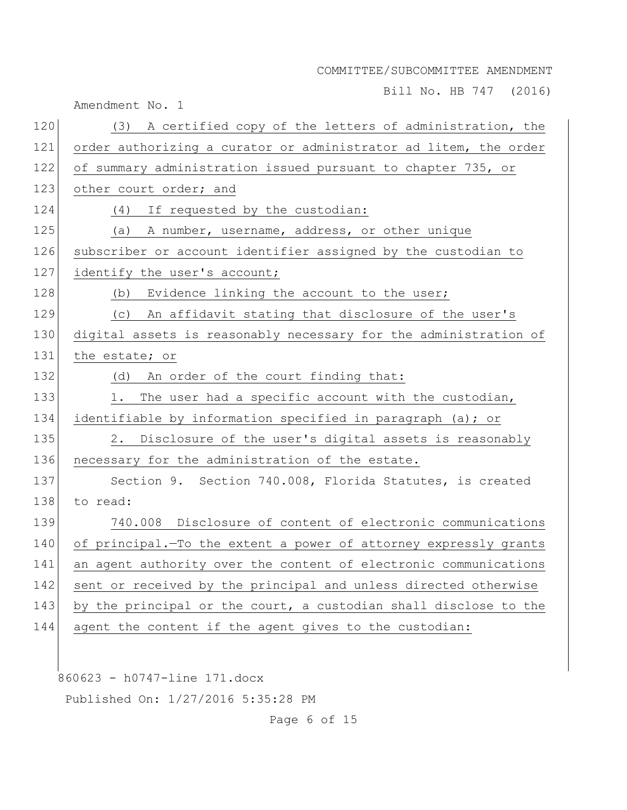Bill No. HB 747 (2016)

Amendment No. 1

| 120 | (3) A certified copy of the letters of administration, the       |
|-----|------------------------------------------------------------------|
| 121 | order authorizing a curator or administrator ad litem, the order |
| 122 | of summary administration issued pursuant to chapter 735, or     |
| 123 | other court order; and                                           |
| 124 | (4) If requested by the custodian:                               |
| 125 | (a) A number, username, address, or other unique                 |
| 126 | subscriber or account identifier assigned by the custodian to    |
| 127 | identify the user's account;                                     |
| 128 | Evidence linking the account to the user;<br>(b)                 |
| 129 | (c) An affidavit stating that disclosure of the user's           |
| 130 | digital assets is reasonably necessary for the administration of |
| 131 | the estate; or                                                   |
| 132 | (d) An order of the court finding that:                          |
| 133 | The user had a specific account with the custodian,<br>1.        |
| 134 | identifiable by information specified in paragraph (a); or       |
| 135 | 2. Disclosure of the user's digital assets is reasonably         |
| 136 | necessary for the administration of the estate.                  |
| 137 | Section 9. Section 740.008, Florida Statutes, is created         |
| 138 | to read:                                                         |
| 139 | 740.008 Disclosure of content of electronic communications       |
| 140 | of principal. To the extent a power of attorney expressly grants |
| 141 | an agent authority over the content of electronic communications |
| 142 | sent or received by the principal and unless directed otherwise  |
| 143 | by the principal or the court, a custodian shall disclose to the |
| 144 | agent the content if the agent gives to the custodian:           |
|     |                                                                  |

860623 - h0747-line 171.docx

Published On: 1/27/2016 5:35:28 PM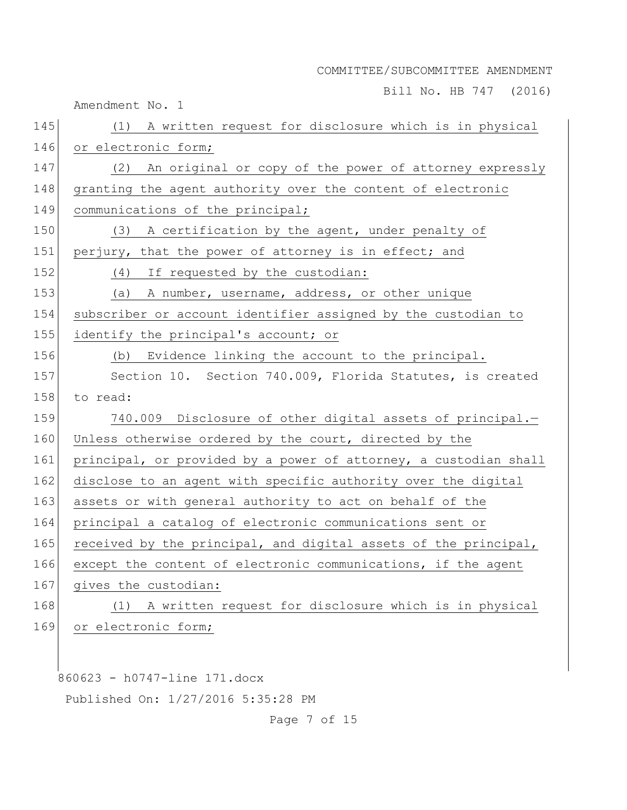Bill No. HB 747 (2016)

|     | Amendment No. 1                                                  |
|-----|------------------------------------------------------------------|
| 145 | (1) A written request for disclosure which is in physical        |
| 146 | or electronic form;                                              |
| 147 | (2) An original or copy of the power of attorney expressly       |
| 148 | granting the agent authority over the content of electronic      |
| 149 | communications of the principal;                                 |
| 150 | (3) A certification by the agent, under penalty of               |
| 151 | perjury, that the power of attorney is in effect; and            |
| 152 | (4) If requested by the custodian:                               |
| 153 | A number, username, address, or other unique<br>(a)              |
| 154 | subscriber or account identifier assigned by the custodian to    |
| 155 | identify the principal's account; or                             |
| 156 | (b) Evidence linking the account to the principal.               |
| 157 | Section 10. Section 740.009, Florida Statutes, is created        |
| 158 | to read:                                                         |
| 159 | 740.009 Disclosure of other digital assets of principal.-        |
| 160 | Unless otherwise ordered by the court, directed by the           |
| 161 | principal, or provided by a power of attorney, a custodian shall |
| 162 | disclose to an agent with specific authority over the digital    |
| 163 | assets or with general authority to act on behalf of the         |
| 164 | principal a catalog of electronic communications sent or         |
| 165 | received by the principal, and digital assets of the principal,  |
| 166 | except the content of electronic communications, if the agent    |
| 167 | gives the custodian:                                             |
| 168 | A written request for disclosure which is in physical<br>(1)     |
| 169 | or electronic form;                                              |
|     |                                                                  |
|     | 860623 - h0747-line 171.docx                                     |

Published On: 1/27/2016 5:35:28 PM

Page 7 of 15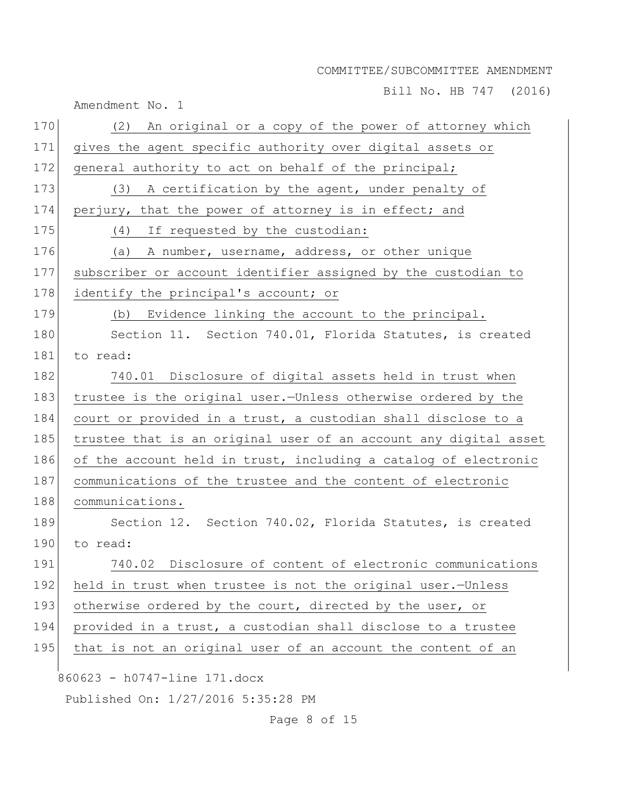Bill No. HB 747 (2016)

|     | Amendment No. 1                                                  |
|-----|------------------------------------------------------------------|
| 170 | (2) An original or a copy of the power of attorney which         |
| 171 | gives the agent specific authority over digital assets or        |
| 172 | general authority to act on behalf of the principal;             |
| 173 | (3) A certification by the agent, under penalty of               |
| 174 | perjury, that the power of attorney is in effect; and            |
| 175 | (4) If requested by the custodian:                               |
| 176 | (a) A number, username, address, or other unique                 |
| 177 | subscriber or account identifier assigned by the custodian to    |
| 178 | identify the principal's account; or                             |
| 179 | (b) Evidence linking the account to the principal.               |
| 180 | Section 11. Section 740.01, Florida Statutes, is created         |
| 181 | to read:                                                         |
| 182 | 740.01 Disclosure of digital assets held in trust when           |
| 183 | trustee is the original user.-Unless otherwise ordered by the    |
| 184 | court or provided in a trust, a custodian shall disclose to a    |
| 185 | trustee that is an original user of an account any digital asset |
| 186 | of the account held in trust, including a catalog of electronic  |
| 187 | communications of the trustee and the content of electronic      |
| 188 | communications.                                                  |
| 189 | Section 12. Section 740.02, Florida Statutes, is created         |
| 190 | to read:                                                         |
| 191 | Disclosure of content of electronic communications<br>740.02     |
| 192 | held in trust when trustee is not the original user.-Unless      |
| 193 | otherwise ordered by the court, directed by the user, or         |
| 194 | provided in a trust, a custodian shall disclose to a trustee     |
| 195 | that is not an original user of an account the content of an     |
|     | 860623 - h0747-line 171.docx                                     |
|     | Published On: 1/27/2016 5:35:28 PM                               |
|     |                                                                  |

Page 8 of 15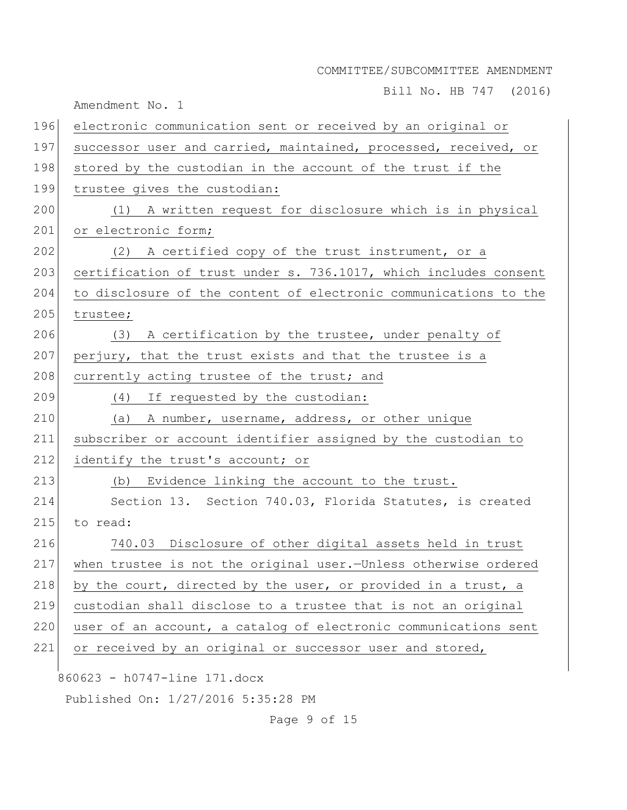Bill No. HB 747 (2016)

Amendment No. 1

| 196 | electronic communication sent or received by an original or      |
|-----|------------------------------------------------------------------|
| 197 | successor user and carried, maintained, processed, received, or  |
| 198 | stored by the custodian in the account of the trust if the       |
| 199 | trustee gives the custodian:                                     |
| 200 | (1) A written request for disclosure which is in physical        |
| 201 | or electronic form;                                              |
| 202 | (2) A certified copy of the trust instrument, or a               |
| 203 | certification of trust under s. 736.1017, which includes consent |
| 204 | to disclosure of the content of electronic communications to the |
| 205 | trustee;                                                         |
| 206 | (3) A certification by the trustee, under penalty of             |
| 207 | perjury, that the trust exists and that the trustee is a         |
| 208 | currently acting trustee of the trust; and                       |
| 209 | (4) If requested by the custodian:                               |
| 210 | (a) A number, username, address, or other unique                 |
| 211 | subscriber or account identifier assigned by the custodian to    |
| 212 | identify the trust's account; or                                 |
| 213 | (b) Evidence linking the account to the trust.                   |
| 214 | Section 13. Section 740.03, Florida Statutes, is created         |
| 215 | to read:                                                         |
| 216 | 740.03 Disclosure of other digital assets held in trust          |
| 217 | when trustee is not the original user.-Unless otherwise ordered  |
| 218 | by the court, directed by the user, or provided in a trust, a    |
| 219 | custodian shall disclose to a trustee that is not an original    |
| 220 | user of an account, a catalog of electronic communications sent  |
| 221 | or received by an original or successor user and stored,         |
|     | 860623 - h0747-line 171.docx                                     |
|     | Published On: 1/27/2016 5:35:28 PM                               |
|     |                                                                  |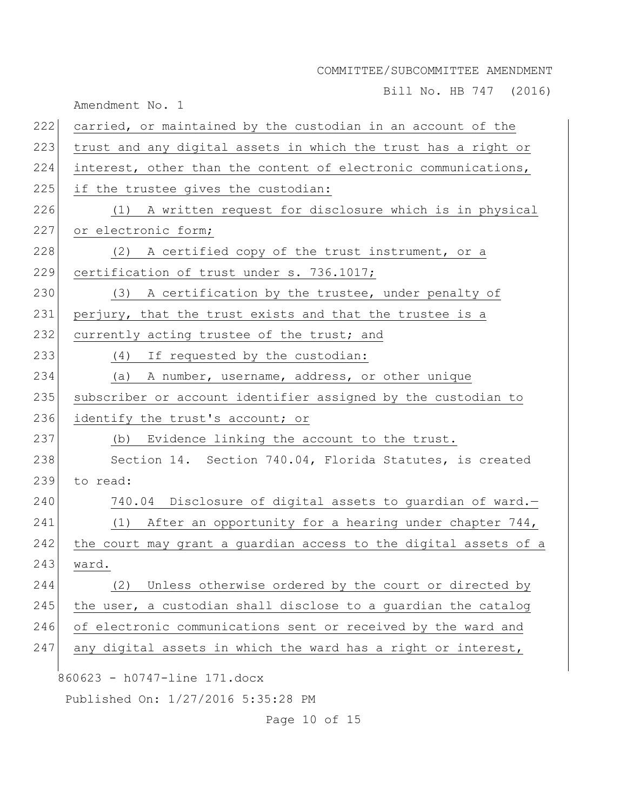Bill No. HB 747 (2016)

Amendment No. 1

| 222 | carried, or maintained by the custodian in an account of the     |
|-----|------------------------------------------------------------------|
| 223 | trust and any digital assets in which the trust has a right or   |
| 224 | interest, other than the content of electronic communications,   |
| 225 | if the trustee gives the custodian:                              |
| 226 | (1) A written request for disclosure which is in physical        |
| 227 | or electronic form;                                              |
| 228 | (2) A certified copy of the trust instrument, or a               |
| 229 | certification of trust under s. 736.1017;                        |
| 230 | (3) A certification by the trustee, under penalty of             |
| 231 | perjury, that the trust exists and that the trustee is a         |
| 232 | currently acting trustee of the trust; and                       |
| 233 | (4) If requested by the custodian:                               |
| 234 | (a) A number, username, address, or other unique                 |
| 235 | subscriber or account identifier assigned by the custodian to    |
| 236 | identify the trust's account; or                                 |
| 237 | (b) Evidence linking the account to the trust.                   |
| 238 | Section 14. Section 740.04, Florida Statutes, is created         |
| 239 | to read:                                                         |
| 240 | 740.04 Disclosure of digital assets to guardian of ward.-        |
| 241 | (1) After an opportunity for a hearing under chapter 744,        |
| 242 | the court may grant a guardian access to the digital assets of a |
| 243 | ward.                                                            |
| 244 | Unless otherwise ordered by the court or directed by<br>(2)      |
| 245 | the user, a custodian shall disclose to a guardian the catalog   |
| 246 | of electronic communications sent or received by the ward and    |
| 247 | any digital assets in which the ward has a right or interest,    |
|     | 860623 - h0747-line 171.docx                                     |
|     | Published On: 1/27/2016 5:35:28 PM                               |
|     |                                                                  |

Page 10 of 15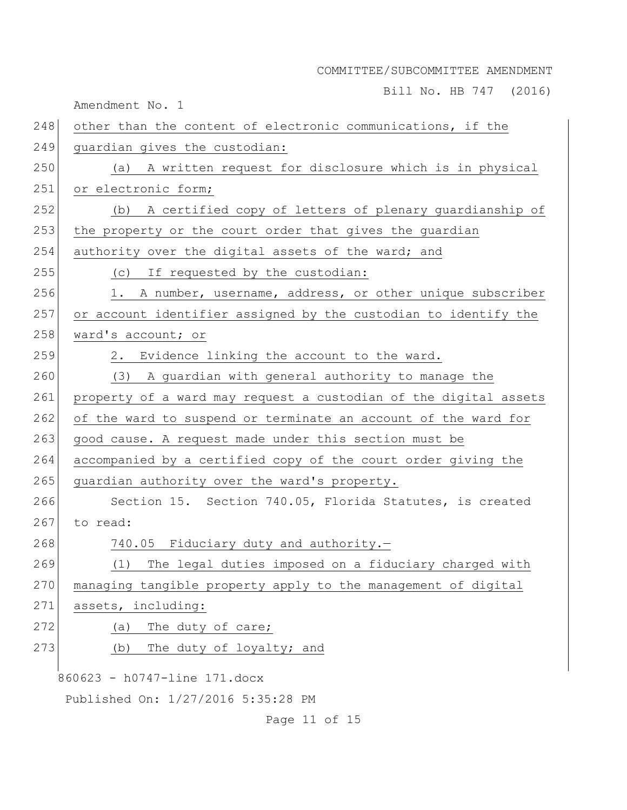Bill No. HB 747 (2016)

Amendment No. 1

| 248 | other than the content of electronic communications, if the      |
|-----|------------------------------------------------------------------|
| 249 | quardian gives the custodian:                                    |
| 250 | (a) A written request for disclosure which is in physical        |
| 251 | or electronic form;                                              |
| 252 | (b) A certified copy of letters of plenary guardianship of       |
| 253 | the property or the court order that gives the guardian          |
| 254 | authority over the digital assets of the ward; and               |
| 255 | (c) If requested by the custodian:                               |
| 256 | A number, username, address, or other unique subscriber<br>1.    |
| 257 | or account identifier assigned by the custodian to identify the  |
| 258 | ward's account; or                                               |
| 259 | 2. Evidence linking the account to the ward.                     |
| 260 | (3) A guardian with general authority to manage the              |
| 261 | property of a ward may request a custodian of the digital assets |
| 262 | of the ward to suspend or terminate an account of the ward for   |
| 263 | good cause. A request made under this section must be            |
| 264 | accompanied by a certified copy of the court order giving the    |
| 265 | guardian authority over the ward's property.                     |
| 266 | Section 15. Section 740.05, Florida Statutes, is created         |
| 267 | to read:                                                         |
| 268 | 740.05 Fiduciary duty and authority.-                            |
| 269 | The legal duties imposed on a fiduciary charged with<br>(1)      |
| 270 | managing tangible property apply to the management of digital    |
| 271 | assets, including:                                               |
| 272 | The duty of care;<br>(a)                                         |
| 273 | The duty of loyalty; and<br>(b)                                  |
|     | 860623 - h0747-line 171.docx                                     |
|     | Published On: 1/27/2016 5:35:28 PM                               |
|     |                                                                  |

Page 11 of 15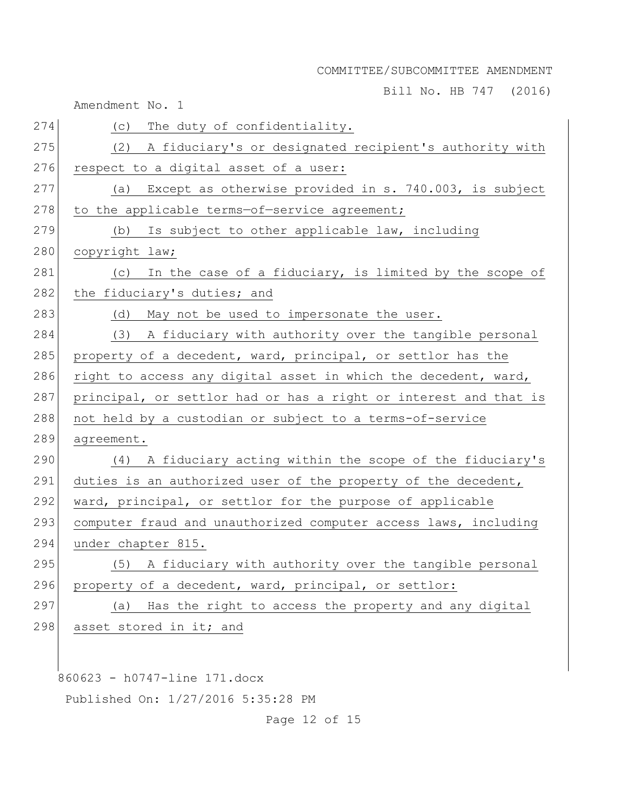Bill No. HB 747 (2016)

Amendment No. 1

| 274 | The duty of confidentiality.<br>(C)                              |
|-----|------------------------------------------------------------------|
| 275 | A fiduciary's or designated recipient's authority with<br>(2)    |
| 276 | respect to a digital asset of a user:                            |
| 277 | Except as otherwise provided in s. 740.003, is subject<br>(a)    |
| 278 | to the applicable terms-of-service agreement;                    |
| 279 | (b) Is subject to other applicable law, including                |
| 280 | copyright law;                                                   |
| 281 | (c) In the case of a fiduciary, is limited by the scope of       |
| 282 | the fiduciary's duties; and                                      |
| 283 | May not be used to impersonate the user.<br>(d)                  |
| 284 | (3) A fiduciary with authority over the tangible personal        |
| 285 | property of a decedent, ward, principal, or settlor has the      |
| 286 | right to access any digital asset in which the decedent, ward,   |
| 287 | principal, or settlor had or has a right or interest and that is |
| 288 | not held by a custodian or subject to a terms-of-service         |
| 289 | agreement.                                                       |
| 290 | (4) A fiduciary acting within the scope of the fiduciary's       |
| 291 | duties is an authorized user of the property of the decedent,    |
| 292 | ward, principal, or settlor for the purpose of applicable        |
| 293 | computer fraud and unauthorized computer access laws, including  |
| 294 | under chapter 815.                                               |
| 295 | A fiduciary with authority over the tangible personal<br>(5)     |
| 296 | property of a decedent, ward, principal, or settlor:             |
| 297 | Has the right to access the property and any digital<br>(a)      |
| 298 | asset stored in it; and                                          |
|     |                                                                  |
|     |                                                                  |

860623 - h0747-line 171.docx

Published On: 1/27/2016 5:35:28 PM

Page 12 of 15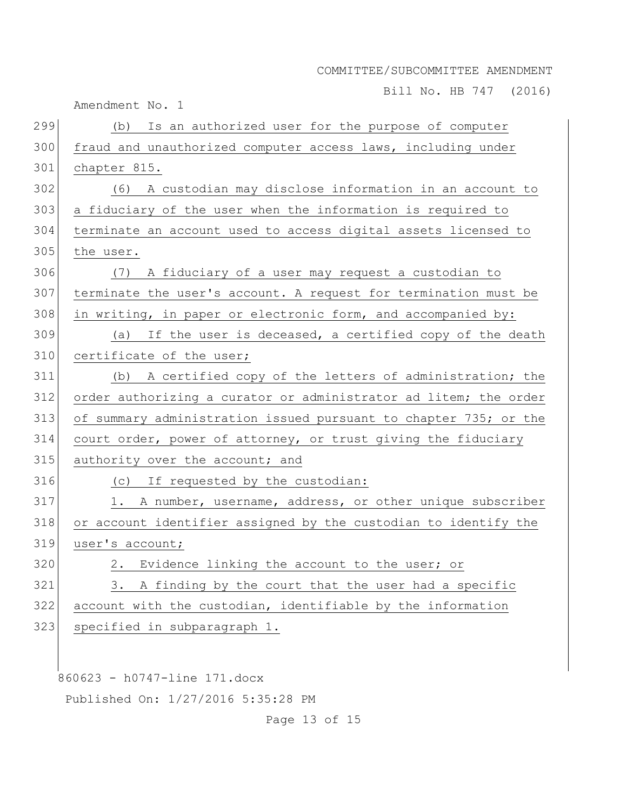Bill No. HB 747 (2016)

Amendment No. 1

| 299 | Is an authorized user for the purpose of computer<br>(b)         |
|-----|------------------------------------------------------------------|
| 300 | fraud and unauthorized computer access laws, including under     |
| 301 | chapter 815.                                                     |
| 302 | (6)<br>A custodian may disclose information in an account to     |
| 303 | a fiduciary of the user when the information is required to      |
| 304 | terminate an account used to access digital assets licensed to   |
| 305 | the user.                                                        |
| 306 | (7) A fiduciary of a user may request a custodian to             |
| 307 | terminate the user's account. A request for termination must be  |
| 308 | in writing, in paper or electronic form, and accompanied by:     |
| 309 | (a) If the user is deceased, a certified copy of the death       |
| 310 | certificate of the user;                                         |
| 311 | (b) A certified copy of the letters of administration; the       |
| 312 | order authorizing a curator or administrator ad litem; the order |
| 313 | of summary administration issued pursuant to chapter 735; or the |
| 314 | court order, power of attorney, or trust giving the fiduciary    |
| 315 | authority over the account; and                                  |
| 316 | (c) If requested by the custodian:                               |
| 317 | A number, username, address, or other unique subscriber<br>1.    |
| 318 | or account identifier assigned by the custodian to identify the  |
| 319 | user's account;                                                  |
| 320 | 2. Evidence linking the account to the user; or                  |
| 321 | A finding by the court that the user had a specific<br>3.        |
| 322 | account with the custodian, identifiable by the information      |
| 323 | specified in subparagraph 1.                                     |
|     |                                                                  |
|     |                                                                  |
|     | 860623 - h0747-line 171.docx                                     |

Published On: 1/27/2016 5:35:28 PM

Page 13 of 15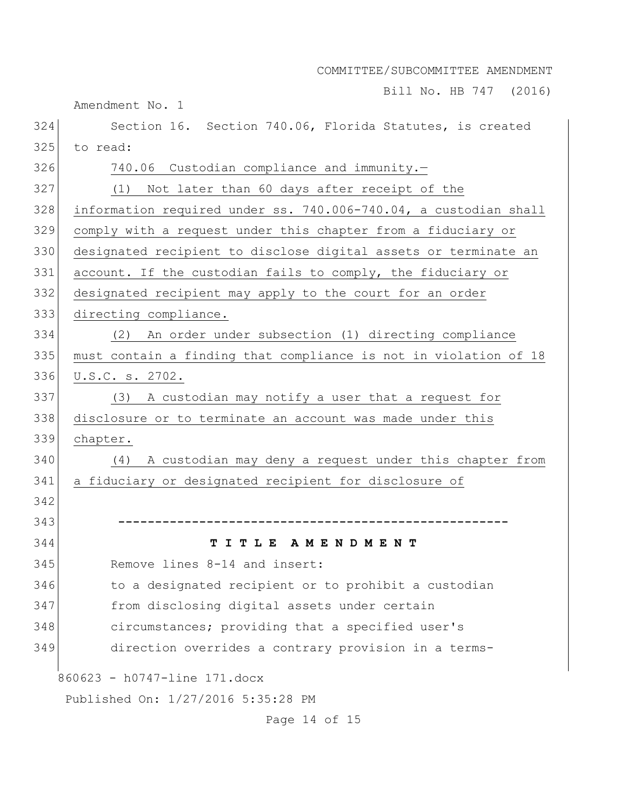Bill No. HB 747 (2016)

860623 - h0747-line 171.docx Published On: 1/27/2016 5:35:28 PM Section 16. Section 740.06, Florida Statutes, is created to read: 326 740.06 Custodian compliance and immunity.- (1) Not later than 60 days after receipt of the information required under ss. 740.006-740.04, a custodian shall comply with a request under this chapter from a fiduciary or designated recipient to disclose digital assets or terminate an account. If the custodian fails to comply, the fiduciary or designated recipient may apply to the court for an order directing compliance. (2) An order under subsection (1) directing compliance 335 must contain a finding that compliance is not in violation of 18 U.S.C. s. 2702. (3) A custodian may notify a user that a request for disclosure or to terminate an account was made under this chapter. (4) A custodian may deny a request under this chapter from a fiduciary or designated recipient for disclosure of **----------------------------------------------------- T I T L E A M E N D M E N T** Remove lines 8-14 and insert: 346 to a designated recipient or to prohibit a custodian from disclosing digital assets under certain 348 circumstances; providing that a specified user's direction overrides a contrary provision in a terms-

Amendment No. 1

Page 14 of 15